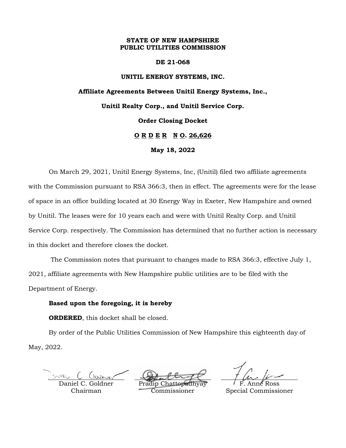### **STATE OF NEW HAMPSHIRE PUBLIC UTILITIES COMMISSION**

#### **DE 21-068**

### **UNITIL ENERGY SYSTEMS, INC.**

## **Affiliate Agreements Between Unitil Energy Systems, Inc., Unitil Realty Corp., and Unitil Service Corp. Order Closing Docket O R D E R N O. 26,626 May 18, 2022**

On March 29, 2021, Unitil Energy Systems, Inc, (Unitil) filed two affiliate agreements with the Commission pursuant to RSA 366:3, then in effect. The agreements were for the lease of space in an office building located at 30 Energy Way in Exeter, New Hampshire and owned by Unitil. The leases were for 10 years each and were with Unitil Realty Corp. and Unitil Service Corp. respectively. The Commission has determined that no further action is necessary in this docket and therefore closes the docket.

The Commission notes that pursuant to changes made to RSA 366:3, effective July 1, 2021, affiliate agreements with New Hampshire public utilities are to be filed with the Department of Energy.

### **Based upon the foregoing, it is hereby**

**ORDERED**, this docket shall be closed.

By order of the Public Utilities Commission of New Hampshire this eighteenth day of May, 2022.

NIEL

Daniel C. Goldner Chairman

Pradip Chattopadhyay Commissioner

F. Anne Ross Special Commissioner